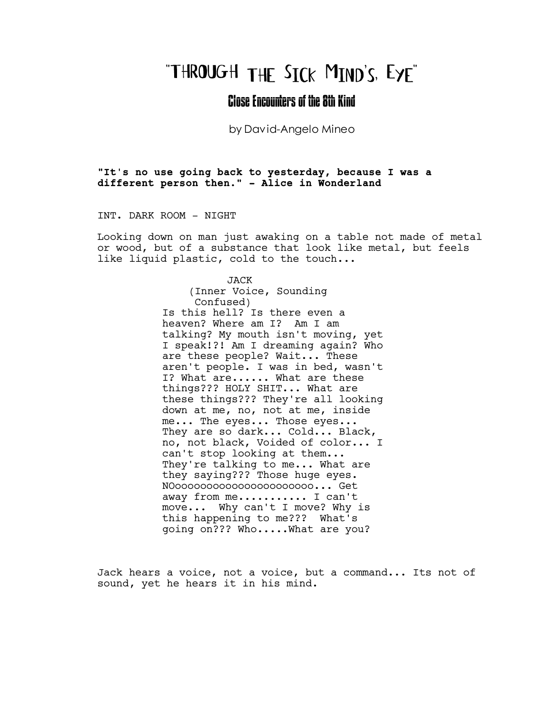# "THROUGH THE SICK MIND'S, EYE"

# Close Encounters of the 8th Kind

by David-Angelo Mineo

"It's no use going back to yesterday, because I was a different person then." - Alice in Wonderland

INT. DARK ROOM - NIGHT

Looking down on man just awaking on a table not made of metal or wood, but of a substance that look like metal, but feels like liquid plastic, cold to the touch...

> JACK (Inner Voice, Sounding Confused) Is this hell? Is there even a heaven? Where am I? Am I am talking? My mouth isn't moving, yet I speak!?! Am I dreaming again? Who are these people? Wait... These aren't people. I was in bed, wasn't I? What are...... What are these things??? HOLY SHIT... What are these things??? They're all looking down at me, no, not at me, inside me... The eyes... Those eyes... They are so dark... Cold... Black, no, not black, Voided of color... I can't stop looking at them... They're talking to me... What are they saying??? Those huge eyes. NOoooooooooooooooooooooo... Get away from me............ I can't move... Why can't I move? Why is this happening to me??? What's going on??? Who.....What are you?

Jack hears a voice, not a voice, but a command... Its not of sound, yet he hears it in his mind.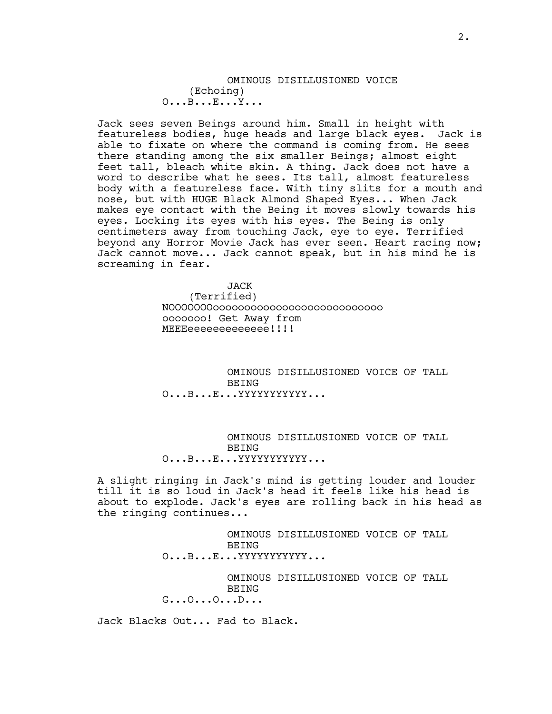# OMINOUS DISILLUSIONED VOICE (Echoing) O...B...E...Y...

Jack sees seven Beings around him. Small in height with featureless bodies, huge heads and large black eyes. Jack is able to fixate on where the command is coming from. He sees there standing among the six smaller Beings; almost eight feet tall, bleach white skin. A thing. Jack does not have a word to describe what he sees. Its tall, almost featureless body with a featureless face. With tiny slits for a mouth and nose, but with HUGE Black Almond Shaped Eyes... When Jack makes eye contact with the Being it moves slowly towards his eyes. Locking its eyes with his eyes. The Being is only centimeters away from touching Jack, eye to eye. Terrified beyond any Horror Movie Jack has ever seen. Heart racing now; Jack cannot move... Jack cannot speak, but in his mind he is screaming in fear.

> JACK (Terrified) NOOOOOOOooooooooooooooooooooooooooo ooooooo! Get Away from MEEEeeeeeeeeeee!!!!

OMINOUS DISILLUSIONED VOICE OF TALL BEING O...B...E...YYYYYYYYYYY...

OMINOUS DISILLUSIONED VOICE OF TALL BEING O...B...E...YYYYYYYYYYYY...

A slight ringing in Jack's mind is getting louder and louder till it is so loud in Jack's head it feels like his head is about to explode. Jack's eyes are rolling back in his head as the ringing continues...

> OMINOUS DISILLUSIONED VOICE OF TALL **BEING** O...B...E...YYYYYYYYYYY...

> OMINOUS DISILLUSIONED VOICE OF TALL BEING G...O...O...D...

Jack Blacks Out... Fad to Black.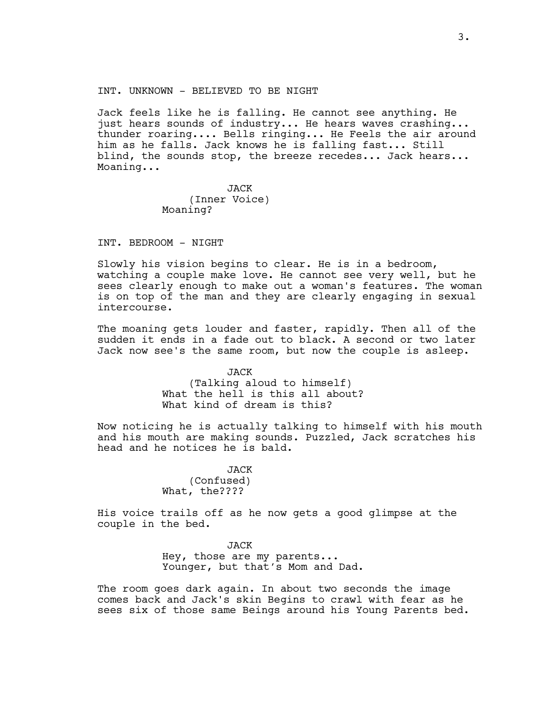INT. UNKNOWN - BELIEVED TO BE NIGHT

Jack feels like he is falling. He cannot see anything. He just hears sounds of industry... He hears waves crashing... thunder roaring.... Bells ringing... He Feels the air around him as he falls. Jack knows he is falling fast... Still blind, the sounds stop, the breeze recedes... Jack hears... Moaning...

> JACK (Inner Voice) Moaning?

INT. BEDROOM - NIGHT

Slowly his vision begins to clear. He is in a bedroom, watching a couple make love. He cannot see very well, but he sees clearly enough to make out a woman's features. The woman is on top of the man and they are clearly engaging in sexual intercourse.

The moaning gets louder and faster, rapidly. Then all of the sudden it ends in a fade out to black. A second or two later Jack now see's the same room, but now the couple is asleep.

> JACK (Talking aloud to himself) What the hell is this all about? What kind of dream is this?

Now noticing he is actually talking to himself with his mouth and his mouth are making sounds. Puzzled, Jack scratches his head and he notices he is bald.

> JACK (Confused) What, the????

His voice trails off as he now gets a good glimpse at the couple in the bed.

> JACK Hey, those are my parents... Younger, but that's Mom and Dad.

The room goes dark again. In about two seconds the image comes back and Jack's skin Begins to crawl with fear as he sees six of those same Beings around his Young Parents bed.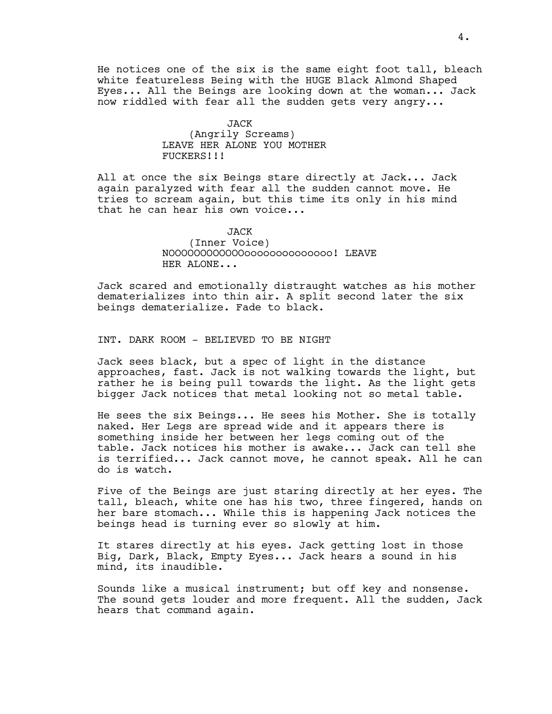He notices one of the six is the same eight foot tall, bleach white featureless Being with the HUGE Black Almond Shaped Eyes... All the Beings are looking down at the woman... Jack now riddled with fear all the sudden gets very angry...

# JACK (Angrily Screams) LEAVE HER ALONE YOU MOTHER FUCKERS!!!

All at once the six Beings stare directly at Jack... Jack again paralyzed with fear all the sudden cannot move. He tries to scream again, but this time its only in his mind that he can hear his own voice...

# JACK (Inner Voice) NOOOOOOOOOOOOoooooooooooooo! LEAVE HER ALONE...

Jack scared and emotionally distraught watches as his mother dematerializes into thin air. A split second later the six beings dematerialize. Fade to black.

INT. DARK ROOM - BELIEVED TO BE NIGHT

Jack sees black, but a spec of light in the distance approaches, fast. Jack is not walking towards the light, but rather he is being pull towards the light. As the light gets bigger Jack notices that metal looking not so metal table.

He sees the six Beings... He sees his Mother. She is totally naked. Her Legs are spread wide and it appears there is something inside her between her legs coming out of the table. Jack notices his mother is awake... Jack can tell she is terrified... Jack cannot move, he cannot speak. All he can do is watch.

Five of the Beings are just staring directly at her eyes. The tall, bleach, white one has his two, three fingered, hands on her bare stomach... While this is happening Jack notices the beings head is turning ever so slowly at him.

It stares directly at his eyes. Jack getting lost in those Big, Dark, Black, Empty Eyes... Jack hears a sound in his mind, its inaudible.

Sounds like a musical instrument; but off key and nonsense. The sound gets louder and more frequent. All the sudden, Jack hears that command again.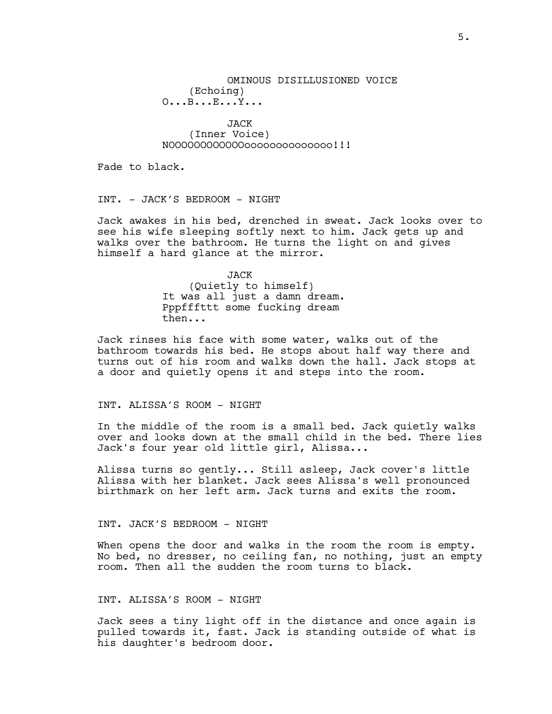# OMINOUS DISILLUSIONED VOICE (Echoing) O...B...E...Y...

JACK (Inner Voice) NOOOOOOOOOOOOoooooooooooooo!!!

Fade to black.

INT. - JACK'S BEDROOM - NIGHT

Jack awakes in his bed, drenched in sweat. Jack looks over to see his wife sleeping softly next to him. Jack gets up and walks over the bathroom. He turns the light on and gives himself a hard glance at the mirror.

> **JACK** (Quietly to himself) It was all just a damn dream. Pppfffttt some fucking dream then...

Jack rinses his face with some water, walks out of the bathroom towards his bed. He stops about half way there and turns out of his room and walks down the hall. Jack stops at a door and quietly opens it and steps into the room.

#### INT. ALISSA'S ROOM - NIGHT

In the middle of the room is a small bed. Jack quietly walks over and looks down at the small child in the bed. There lies Jack's four year old little girl, Alissa...

Alissa turns so gently... Still asleep, Jack cover's little Alissa with her blanket. Jack sees Alissa's well pronounced birthmark on her left arm. Jack turns and exits the room.

#### INT. JACK'S BEDROOM - NIGHT

When opens the door and walks in the room the room is empty. No bed, no dresser, no ceiling fan, no nothing, just an empty room. Then all the sudden the room turns to black.

### INT. ALISSA'S ROOM - NIGHT

Jack sees a tiny light off in the distance and once again is pulled towards it, fast. Jack is standing outside of what is his daughter's bedroom door.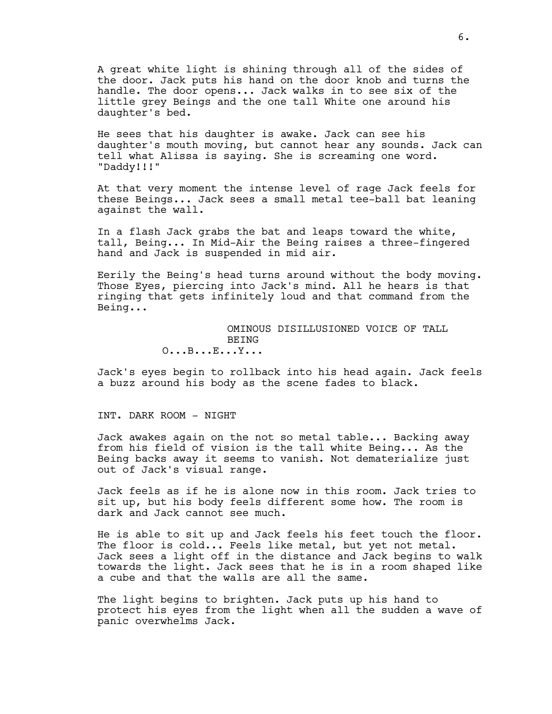A great white light is shining through all of the sides of the door. Jack puts his hand on the door knob and turns the handle. The door opens... Jack walks in to see six of the little grey Beings and the one tall White one around his daughter's bed.

He sees that his daughter is awake. Jack can see his daughter's mouth moving, but cannot hear any sounds. Jack can tell what Alissa is saying. She is screaming one word. "Daddy!!!"

At that very moment the intense level of rage Jack feels for these Beings... Jack sees a small metal tee-ball bat leaning against the wall.

In a flash Jack grabs the bat and leaps toward the white, tall, Being... In Mid-Air the Being raises a three-fingered hand and Jack is suspended in mid air.

Eerily the Being's head turns around without the body moving. Those Eyes, piercing into Jack's mind. All he hears is that ringing that gets infinitely loud and that command from the Being...

> OMINOUS DISILLUSIONED VOICE OF TALL **BEING** O...B...E...Y...

Jack's eyes begin to rollback into his head again. Jack feels a buzz around his body as the scene fades to black.

INT. DARK ROOM - NIGHT

Jack awakes again on the not so metal table... Backing away from his field of vision is the tall white Being... As the Being backs away it seems to vanish. Not dematerialize just out of Jack's visual range.

Jack feels as if he is alone now in this room. Jack tries to sit up, but his body feels different some how. The room is dark and Jack cannot see much.

He is able to sit up and Jack feels his feet touch the floor. The floor is cold... Feels like metal, but yet not metal. Jack sees a light off in the distance and Jack begins to walk towards the light. Jack sees that he is in a room shaped like a cube and that the walls are all the same.

The light begins to brighten. Jack puts up his hand to protect his eyes from the light when all the sudden a wave of panic overwhelms Jack.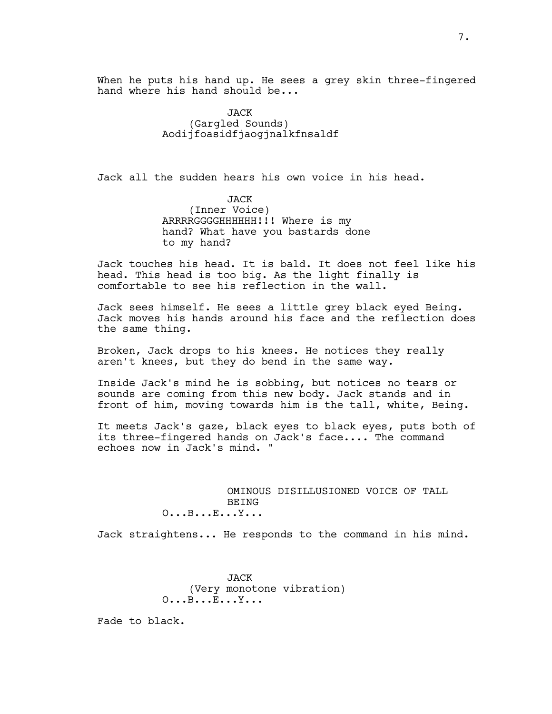When he puts his hand up. He sees a grey skin three-fingered hand where his hand should be...

> JACK (Gargled Sounds) Aodijfoasidfjaogjnalkfnsaldf

Jack all the sudden hears his own voice in his head.

JACK (Inner Voice) ARRRRGGGGHHHHHH!!! Where is my hand? What have you bastards done to my hand?

Jack touches his head. It is bald. It does not feel like his head. This head is too big. As the light finally is comfortable to see his reflection in the wall.

Jack sees himself. He sees a little grey black eyed Being. Jack moves his hands around his face and the reflection does the same thing.

Broken, Jack drops to his knees. He notices they really aren't knees, but they do bend in the same way.

Inside Jack's mind he is sobbing, but notices no tears or sounds are coming from this new body. Jack stands and in front of him, moving towards him is the tall, white, Being.

It meets Jack's gaze, black eyes to black eyes, puts both of its three-fingered hands on Jack's face.... The command echoes now in Jack's mind. "

> OMINOUS DISILLUSIONED VOICE OF TALL BEING O...B...E...Y...

Jack straightens... He responds to the command in his mind.

JACK (Very monotone vibration) O...B...E...Y...

Fade to black.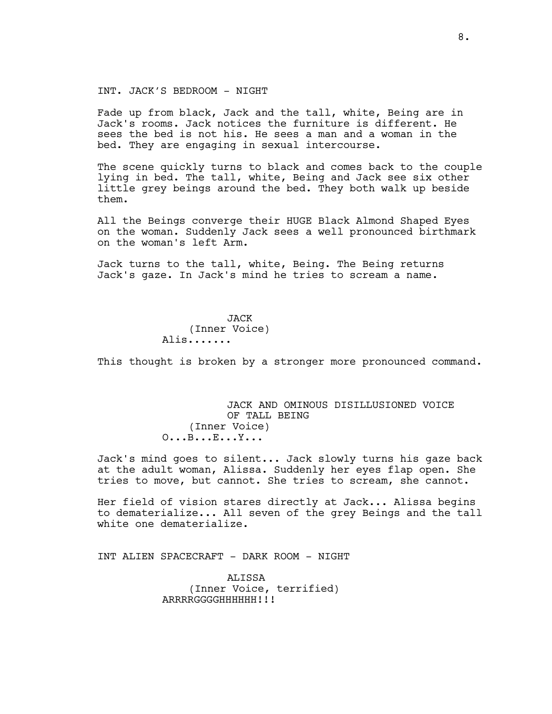#### INT. JACK'S BEDROOM - NIGHT

Fade up from black, Jack and the tall, white, Being are in Jack's rooms. Jack notices the furniture is different. He sees the bed is not his. He sees a man and a woman in the bed. They are engaging in sexual intercourse.

The scene quickly turns to black and comes back to the couple lying in bed. The tall, white, Being and Jack see six other little grey beings around the bed. They both walk up beside them.

All the Beings converge their HUGE Black Almond Shaped Eyes on the woman. Suddenly Jack sees a well pronounced birthmark on the woman's left Arm.

Jack turns to the tall, white, Being. The Being returns Jack's gaze. In Jack's mind he tries to scream a name.

> JACK (Inner Voice) Alis.......

This thought is broken by a stronger more pronounced command.

# JACK AND OMINOUS DISILLUSIONED VOICE OF TALL BEING (Inner Voice) O...B...E...Y...

Jack's mind goes to silent... Jack slowly turns his gaze back at the adult woman, Alissa. Suddenly her eyes flap open. She tries to move, but cannot. She tries to scream, she cannot.

Her field of vision stares directly at Jack... Alissa begins to dematerialize... All seven of the grey Beings and the tall white one dematerialize.

INT ALIEN SPACECRAFT - DARK ROOM - NIGHT

ALISSA (Inner Voice, terrified) ARRRRGGGGHHHHHH!!!